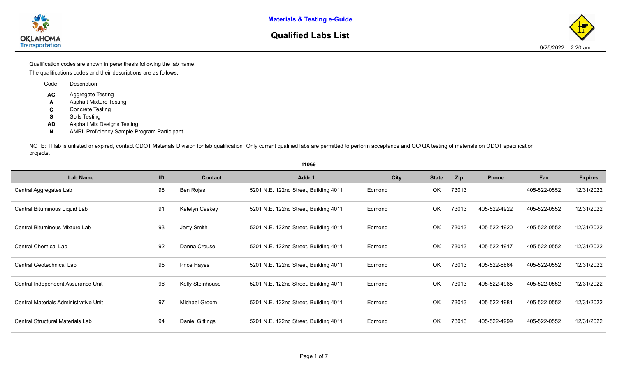**Materials & Testing e-Guide**



## **Qualified Labs List**

The qualifications codes and their descriptions are as follows: Qualification codes are shown in perenthesis following the lab name.

| Code | <b>Description</b>                 |
|------|------------------------------------|
| AG   | Aggregate Testing                  |
| A    | <b>Asphalt Mixture Testing</b>     |
| C    | <b>Concrete Testing</b>            |
| s    | Soils Testing                      |
| ΔŊ   | <b>Asphalt Mix Designs Testing</b> |

**N** AMRL Proficiency Sample Program Participant

NOTE: If lab is unlisted or expired, contact ODOT Materials Division for lab qualification. Only current qualified labs are permitted to perform a projects.

|                                         |    |                        | 11069                                 |     |
|-----------------------------------------|----|------------------------|---------------------------------------|-----|
| <b>Lab Name</b>                         | ID | <b>Contact</b>         | Addr 1                                |     |
| Central Aggregates Lab                  | 98 | Ben Rojas              | 5201 N.E. 122nd Street, Building 4011 | Edi |
| Central Bituminous Liquid Lab           | 91 | Katelyn Caskey         | 5201 N.E. 122nd Street, Building 4011 | Edi |
| Central Bituminous Mixture Lab          | 93 | Jerry Smith            | 5201 N.E. 122nd Street, Building 4011 | Edi |
| <b>Central Chemical Lab</b>             | 92 | Danna Crouse           | 5201 N.E. 122nd Street, Building 4011 | Edi |
| Central Geotechnical Lab                | 95 | Price Hayes            | 5201 N.E. 122nd Street, Building 4011 | Edi |
| Central Independent Assurance Unit      | 96 | Kelly Steinhouse       | 5201 N.E. 122nd Street, Building 4011 | Ed  |
| Central Materials Administrative Unit   | 97 | Michael Groom          | 5201 N.E. 122nd Street, Building 4011 | Edi |
| <b>Central Structural Materials Lab</b> | 94 | <b>Daniel Gittings</b> | 5201 N.E. 122nd Street, Building 4011 | Edi |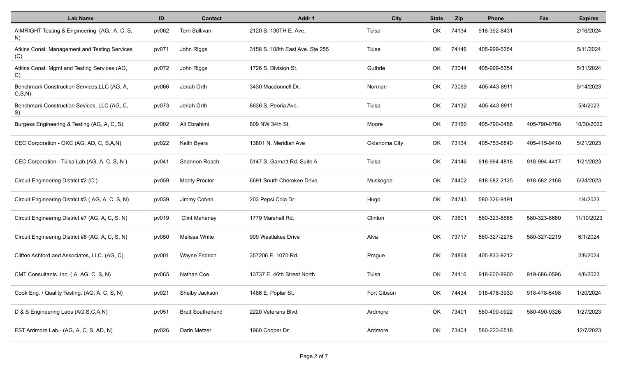| <b>Lab Name</b>                                         | ID    | <b>Contact</b>           | Addr 1                          | <b>City</b>   | <b>State</b> | Zip   | <b>Phone</b> | Fax          | <b>Expires</b> |
|---------------------------------------------------------|-------|--------------------------|---------------------------------|---------------|--------------|-------|--------------|--------------|----------------|
| AIMRIGHT Testing & Engineering (AG, A, C, S,<br>N)      | pv062 | Terri Sullivan           | 2120 S. 130TH E. Ave.           | Tulsa         | OK           | 74134 | 918-392-8431 |              | 2/16/2024      |
| Atkins Const. Management and Testing Services<br>(C)    | pv071 | John Riggs               | 3158 S. 108th East Ave. Ste.255 | Tulsa         | OK           | 74146 | 405-999-5354 |              | 5/11/2024      |
| Atkins Const. Mgmt and Testing Services (AG,<br>C)      | pv072 | John Riggs               | 1726 S. Division St.            | Guthrie       | OK           | 73044 | 405-999-5354 |              | 5/31/2024      |
| Benchmark Construction Services, LLC (AG, A,<br>C, S, N | pv066 | Jeriah Orth              | 3430 Macdonnell Dr.             | Norman        | OK           | 73069 | 405-443-8911 |              | 5/14/2023      |
| Benchmark Construction Sevices, LLC (AG, C,<br>S)       | pv073 | Jeriah Orth              | 8636 S. Peoria Ave.             | Tulsa         | OK           | 74132 | 405-443-8911 |              | 5/4/2023       |
| Burgess Engineering & Testing (AG, A, C, S)             | pv002 | Ali Ebrahimi             | 809 NW 34th St.                 | Moore         | OK           | 73160 | 405-790-0488 | 405-790-0788 | 10/30/2022     |
| CEC Corporation - OKC (AG, AD, C, S,A,N)                | pv022 | Keith Byers              | 13801 N. Meridian Ave           | Oklahoma City | OK           | 73134 | 405-753-6840 | 405-415-9410 | 5/21/2023      |
| CEC Corporation - Tulsa Lab (AG, A, C, S, N)            | pv041 | Shannon Roach            | 5147 S. Garnett Rd. Suite A     | Tulsa         | OK.          | 74146 | 918-994-4818 | 918-994-4417 | 1/21/2023      |
| Circuit Engineering District #2 (C)                     | pv059 | <b>Monty Proctor</b>     | 6691 South Cherokee Drive       | Muskogee      | OK           | 74402 | 918-682-2125 | 918-682-2168 | 6/24/2023      |
| Circuit Engineering District #3 (AG, A, C, S, N)        | pv039 | Jimmy Coben              | 203 Pepsi Cola Dr.              | Hugo          | OK           | 74743 | 580-326-9191 |              | 1/4/2023       |
| Circuit Engineering District #7 (AG, A, C, S, N)        | pv019 | <b>Clint Mahanay</b>     | 1779 Marshall Rd.               | Clinton       | OK           | 73601 | 580-323-8685 | 580-323-8680 | 11/10/2023     |
| Circuit Engineering District #8 (AG, A, C, S, N)        | pv050 | Melissa White            | 909 Westlakes Drive             | Alva          | OK           | 73717 | 580-327-2278 | 580-327-2219 | 6/1/2024       |
| Clifton Ashford and Associates, LLC. (AG, C)            | pv001 | <b>Wayne Fridrich</b>    | 357206 E. 1070 Rd.              | Prague        | OK           | 74864 | 405-833-9212 |              | 2/8/2024       |
| CMT Consultants. Inc. (A, AG, C, S, N)                  | pv065 | Nathan Coe               | 13737 E. 46th Street North      | Tulsa         | OK           | 74116 | 918-600-9900 | 919-686-0596 | 4/8/2023       |
| Cook Eng. / Quality Testing. (AG, A, C, S, N)           | pv021 | Shelby Jackson           | 1486 E. Poplar St.              | Fort Gibson   | OK           | 74434 | 918-478-3930 | 918-478-5498 | 1/20/2024      |
| D & S Engineering Labs (AG, S, C, A, N)                 | pv051 | <b>Brett Southerland</b> | 2220 Veterans Blvd.             | Ardmore       | OK           | 73401 | 580-490-9922 | 580-490-9326 | 1/27/2023      |
| EST Ardmore Lab - (AG, A, C, S, AD, N)                  | pv026 | Darin Metzer             | 1960 Cooper Dr.                 | Ardmore       | OK           | 73401 | 580-223-6518 |              | 12/7/2023      |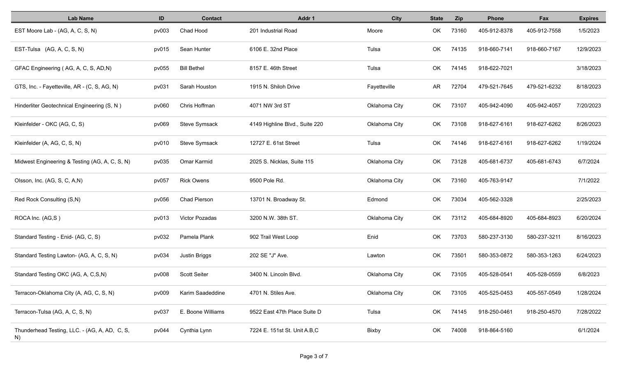| <b>Lab Name</b>                                     | ID    | <b>Contact</b>      | Addr 1                         | City          | <b>State</b> | <b>Zip</b> | <b>Phone</b> | Fax          | <b>Expires</b> |
|-----------------------------------------------------|-------|---------------------|--------------------------------|---------------|--------------|------------|--------------|--------------|----------------|
| EST Moore Lab - (AG, A, C, S, N)                    | pv003 | Chad Hood           | 201 Industrial Road            | Moore         | OK           | 73160      | 405-912-8378 | 405-912-7558 | 1/5/2023       |
| EST-Tulsa (AG, A, C, S, N)                          | pv015 | Sean Hunter         | 6106 E. 32nd Place             | Tulsa         | OK           | 74135      | 918-660-7141 | 918-660-7167 | 12/9/2023      |
| GFAC Engineering (AG, A, C, S, AD, N)               | pv055 | <b>Bill Bethel</b>  | 8157 E. 46th Street            | Tulsa         | OK           | 74145      | 918-622-7021 |              | 3/18/2023      |
| GTS, Inc. - Fayetteville, AR - (C, S, AG, N)        | pv031 | Sarah Houston       | 1915 N. Shiloh Drive           | Fayetteville  | AR           | 72704      | 479-521-7645 | 479-521-6232 | 8/18/2023      |
| Hinderliter Geotechnical Engineering (S, N)         | pv060 | Chris Hoffman       | 4071 NW 3rd ST                 | Oklahoma City | OK           | 73107      | 405-942-4090 | 405-942-4057 | 7/20/2023      |
| Kleinfelder - OKC (AG, C, S)                        | pv069 | Steve Symsack       | 4149 Highline Blvd., Suite 220 | Oklahoma City | OK           | 73108      | 918-627-6161 | 918-627-6262 | 8/26/2023      |
| Kleinfelder (A, AG, C, S, N)                        | pv010 | Steve Symsack       | 12727 E. 61st Street           | Tulsa         | OK           | 74146      | 918-627-6161 | 918-627-6262 | 1/19/2024      |
| Midwest Engineering & Testing (AG, A, C, S, N)      | pv035 | Omar Karmid         | 2025 S. Nicklas, Suite 115     | Oklahoma City | OK           | 73128      | 405-681-6737 | 405-681-6743 | 6/7/2024       |
| Olsson, Inc. (AG, S, C, A,N)                        | pv057 | <b>Rick Owens</b>   | 9500 Pole Rd.                  | Oklahoma City | OK           | 73160      | 405-763-9147 |              | 7/1/2022       |
| Red Rock Consulting (S,N)                           | pv056 | <b>Chad Pierson</b> | 13701 N. Broadway St.          | Edmond        | OK           | 73034      | 405-562-3328 |              | 2/25/2023      |
| ROCA Inc. (AG,S)                                    | pv013 | Victor Pozadas      | 3200 N.W. 38th ST.             | Oklahoma City | OK           | 73112      | 405-684-8920 | 405-684-8923 | 6/20/2024      |
| Standard Testing - Enid- (AG, C, S)                 | pv032 | Pamela Plank        | 902 Trail West Loop            | Enid          | OK           | 73703      | 580-237-3130 | 580-237-3211 | 8/16/2023      |
| Standard Testing Lawton- (AG, A, C, S, N)           | pv034 | Justin Briggs       | 202 SE "J" Ave.                | Lawton        | OK           | 73501      | 580-353-0872 | 580-353-1263 | 6/24/2023      |
| Standard Testing OKC (AG, A, C,S,N)                 | pv008 | <b>Scott Seiter</b> | 3400 N. Lincoln Blvd.          | Oklahoma City | OK           | 73105      | 405-528-0541 | 405-528-0559 | 6/8/2023       |
| Terracon-Oklahoma City (A, AG, C, S, N)             | pv009 | Karim Saadeddine    | 4701 N. Stiles Ave.            | Oklahoma City | OK           | 73105      | 405-525-0453 | 405-557-0549 | 1/28/2024      |
| Terracon-Tulsa (AG, A, C, S, N)                     | pv037 | E. Boone Williams   | 9522 East 47th Place Suite D   | Tulsa         | OK           | 74145      | 918-250-0461 | 918-250-4570 | 7/28/2022      |
| Thunderhead Testing, LLC. - (AG, A, AD, C, S,<br>N) | pv044 | Cynthia Lynn        | 7224 E. 151st St. Unit A.B,C   | <b>Bixby</b>  | OK           | 74008      | 918-864-5160 |              | 6/1/2024       |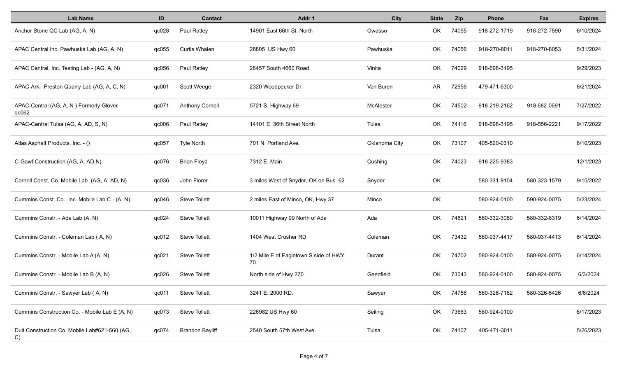| <b>Lab Name</b>                                     | ID    | <b>Contact</b>         | Addr 1                                      | <b>City</b>   | <b>State</b> | <b>Zip</b> | Phone        | Fax          | <b>Expires</b> |
|-----------------------------------------------------|-------|------------------------|---------------------------------------------|---------------|--------------|------------|--------------|--------------|----------------|
| Anchor Stone QC Lab (AG, A, N)                      | qc028 | Paul Ratley            | 14901 East 66th St. North                   | Owasso        | OK           | 74055      | 918-272-1719 | 918-272-7590 | 6/10/2024      |
| APAC Central Inc. Pawhuska Lab (AG, A, N)           | qc055 | <b>Curtis Whalen</b>   | 28805 US Hwy 60                             | Pawhuska      | OK           | 74056      | 918-270-8011 | 918-270-8053 | 5/31/2024      |
| APAC Central, Inc. Testing Lab - (AG, A, N)         | qc056 | Paul Ratley            | 26457 South 4660 Road                       | Vinita        | OK           | 74029      | 918-698-3195 |              | 9/29/2023      |
| APAC-Ark. Preston Quarry Lab (AG, A, C, N)          | qc001 | Scott Weege            | 2320 Woodpecker Dr.                         | Van Buren     | AR           | 72956      | 479-471-6300 |              | 6/21/2024      |
| APAC-Central (AG, A, N) Formerly Glover<br>qc062    | qc071 | <b>Anthony Cornell</b> | 5721 S. Highway 69                          | McAlester     | OK           | 74502      | 918-219-2162 | 918 682-0691 | 7/27/2022      |
| APAC-Central Tulsa (AG, A, AD, S, N)                | qc006 | Paul Ratley            | 14101 E. 36th Street North                  | Tulsa         | <b>OK</b>    | 74116      | 918-698-3195 | 918-556-2221 | 9/17/2022      |
| Atlas Asphalt Products, Inc. - ()                   | qc057 | Tyle North             | 701 N. Portland Ave.                        | Oklahoma City | <b>OK</b>    | 73107      | 405-520-0310 |              | 8/10/2023      |
| C-Gawf Construction (AG, A, AD,N)                   | qc076 | <b>Brian Floyd</b>     | 7312 E. Main                                | Cushing       | OK           | 74023      | 918-225-9383 |              | 12/1/2023      |
| Cornell Const. Co. Mobile Lab (AG, A, AD, N)        | qc036 | John Florer            | 3 miles West of Snyder, OK on Bus. 62       | Snyder        | OK           |            | 580-331-9104 | 580-323-1579 | 9/15/2022      |
| Cummins Const. Co., Inc. Mobile Lab C - (A, N)      | qc046 | <b>Steve Tollett</b>   | 2 miles East of Minco, OK, Hwy 37           | Minco         | OK           |            | 580-924-0100 | 590-924-0075 | 5/23/2024      |
| Cummins Constr. - Ada Lab (A, N)                    | qc024 | <b>Steve Tollett</b>   | 10011 Highway 99 North of Ada               | Ada           | OK           | 74821      | 580-332-3080 | 580-332-8319 | 6/14/2024      |
| Cummins Constr. - Coleman Lab (A, N)                | qc012 | <b>Steve Tollett</b>   | 1404 West Crusher RD                        | Coleman       | OK           | 73432      | 580-937-4417 | 580-937-4413 | 6/14/2024      |
| Cummins Constr. - Mobile Lab A (A, N)               | qc021 | <b>Steve Tollett</b>   | 1/2 Mile E of Eagletown S side of HWY<br>70 | Durant        | OK           | 74702      | 580-924-0100 | 580-924-0075 | 6/14/2024      |
| Cummins Constr. - Mobile Lab B (A, N)               | qc026 | <b>Steve Tollett</b>   | North side of Hwy 270                       | Geenfield     | OK           | 73043      | 580-924-0100 | 580-924-0075 | 6/3/2024       |
| Cummins Constr. - Sawyer Lab (A, N)                 | qc011 | <b>Steve Tollett</b>   | 3241 E. 2000 RD.                            | Sawyer        | OK           | 74756      | 580-326-7182 | 580-326-5426 | 6/6/2024       |
| Cummins Construction Co. - Mobile Lab E (A, N)      | qc073 | <b>Steve Tollett</b>   | 226982 US Hwy 60                            | Seiling       | OK           | 73663      | 580-924-0100 |              | 8/17/2023      |
| Duit Construction Co. Mobile Lab#621-560 (AG,<br>C) | qc074 | <b>Brandon Bayliff</b> | 2540 South 57th West Ave.                   | Tulsa         | OK           | 74107      | 405-471-3011 |              | 5/26/2023      |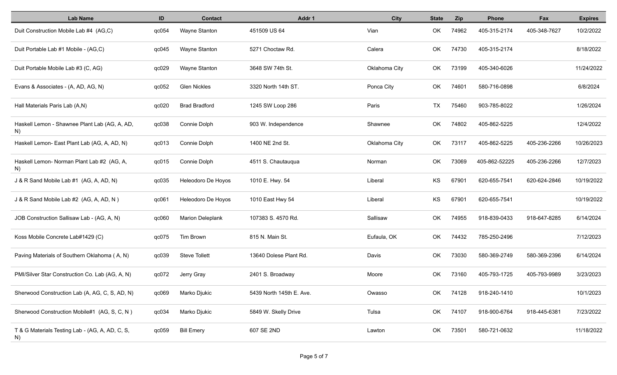| <b>Lab Name</b>                                       | ID    | <b>Contact</b>          | Addr 1                   | <b>City</b>   | <b>State</b> | <b>Zip</b> | <b>Phone</b>  | Fax          | <b>Expires</b> |
|-------------------------------------------------------|-------|-------------------------|--------------------------|---------------|--------------|------------|---------------|--------------|----------------|
| Duit Construction Mobile Lab #4 (AG,C)                | qc054 | Wayne Stanton           | 451509 US 64             | Vian          | OK           | 74962      | 405-315-2174  | 405-348-7627 | 10/2/2022      |
| Duit Portable Lab #1 Mobile - (AG,C)                  | qc045 | Wayne Stanton           | 5271 Choctaw Rd.         | Calera        | OK           | 74730      | 405-315-2174  |              | 8/18/2022      |
| Duit Portable Mobile Lab #3 (C, AG)                   | qc029 | Wayne Stanton           | 3648 SW 74th St.         | Oklahoma City | OK           | 73199      | 405-340-6026  |              | 11/24/2022     |
| Evans & Associates - (A, AD, AG, N)                   | qc052 | <b>Glen Nickles</b>     | 3320 North 14th ST.      | Ponca City    | OK           | 74601      | 580-716-0898  |              | 6/8/2024       |
| Hall Materials Paris Lab (A,N)                        | qc020 | <b>Brad Bradford</b>    | 1245 SW Loop 286         | Paris         | TX           | 75460      | 903-785-8022  |              | 1/26/2024      |
| Haskell Lemon - Shawnee Plant Lab (AG, A, AD,<br>N)   | qc038 | Connie Dolph            | 903 W. Independence      | Shawnee       | OK           | 74802      | 405-862-5225  |              | 12/4/2022      |
| Haskell Lemon- East Plant Lab (AG, A, AD, N)          | qc013 | Connie Dolph            | 1400 NE 2nd St.          | Oklahoma City | OK.          | 73117      | 405-862-5225  | 405-236-2266 | 10/26/2023     |
| Haskell Lemon- Norman Plant Lab #2 (AG, A,<br>N)      | qc015 | Connie Dolph            | 4511 S. Chautauqua       | Norman        | OK           | 73069      | 405-862-52225 | 405-236-2266 | 12/7/2023      |
| J & R Sand Mobile Lab #1 (AG, A, AD, N)               | qc035 | Heleodoro De Hoyos      | 1010 E. Hwy. 54          | Liberal       | KS           | 67901      | 620-655-7541  | 620-624-2846 | 10/19/2022     |
| J & R Sand Mobile Lab #2 (AG, A, AD, N)               | qc061 | Heleodoro De Hoyos      | 1010 East Hwy 54         | Liberal       | KS           | 67901      | 620-655-7541  |              | 10/19/2022     |
| JOB Construction Sallisaw Lab - (AG, A, N)            | qc060 | <b>Marion Deleplank</b> | 107383 S. 4570 Rd.       | Sallisaw      | OK           | 74955      | 918-839-0433  | 918-647-8285 | 6/14/2024      |
| Koss Mobile Concrete Lab#1429 (C)                     | qc075 | Tim Brown               | 815 N. Main St.          | Eufaula, OK   | OK           | 74432      | 785-250-2496  |              | 7/12/2023      |
| Paving Materials of Southern Oklahoma (A, N)          | qc039 | <b>Steve Tollett</b>    | 13640 Dolese Plant Rd.   | Davis         | OK           | 73030      | 580-369-2749  | 580-369-2396 | 6/14/2024      |
| PMI/Silver Star Construction Co. Lab (AG, A, N)       | qc072 | Jerry Gray              | 2401 S. Broadway         | Moore         | OK           | 73160      | 405-793-1725  | 405-793-9989 | 3/23/2023      |
| Sherwood Construction Lab (A, AG, C, S, AD, N)        | qc069 | Marko Djukic            | 5439 North 145th E. Ave. | Owasso        | OK           | 74128      | 918-240-1410  |              | 10/1/2023      |
| Sherwood Construction Mobile#1 (AG, S, C, N)          | qc034 | Marko Djukic            | 5849 W. Skelly Drive     | Tulsa         | OK           | 74107      | 918-900-6764  | 918-445-6381 | 7/23/2022      |
| T & G Materials Testing Lab - (AG, A, AD, C, S,<br>N) | qc059 | <b>Bill Emery</b>       | 607 SE 2ND               | Lawton        | OK           | 73501      | 580-721-0632  |              | 11/18/2022     |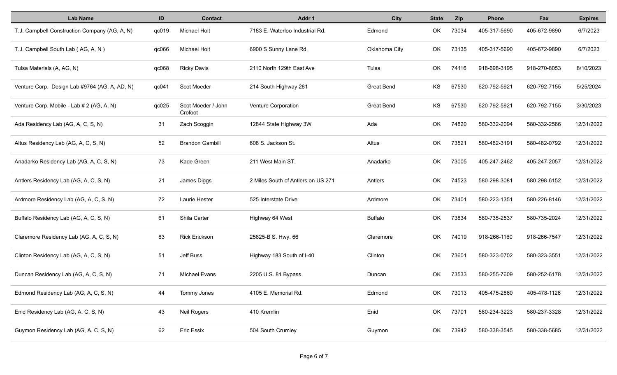| <b>Lab Name</b>                               | ID    | <b>Contact</b>                | Addr 1                             | <b>City</b>       | <b>State</b> | <b>Zip</b> | <b>Phone</b> | Fax          | <b>Expires</b> |
|-----------------------------------------------|-------|-------------------------------|------------------------------------|-------------------|--------------|------------|--------------|--------------|----------------|
| T.J. Campbell Construction Company (AG, A, N) | qc019 | <b>Michael Holt</b>           | 7183 E. Waterloo Industrial Rd.    | Edmond            | OK           | 73034      | 405-317-5690 | 405-672-9890 | 6/7/2023       |
| T.J. Campbell South Lab (AG, A, N)            | qc066 | <b>Michael Holt</b>           | 6900 S Sunny Lane Rd.              | Oklahoma City     | OK           | 73135      | 405-317-5690 | 405-672-9890 | 6/7/2023       |
| Tulsa Materials (A, AG, N)                    | qc068 | <b>Ricky Davis</b>            | 2110 North 129th East Ave          | Tulsa             | OK           | 74116      | 918-698-3195 | 918-270-8053 | 8/10/2023      |
| Venture Corp. Design Lab #9764 (AG, A, AD, N) | qc041 | Scot Moeder                   | 214 South Highway 281              | <b>Great Bend</b> | KS           | 67530      | 620-792-5921 | 620-792-7155 | 5/25/2024      |
| Venture Corp. Mobile - Lab # 2 (AG, A, N)     | qc025 | Scot Moeder / John<br>Crofoot | Venture Corporation                | Great Bend        | KS           | 67530      | 620-792-5921 | 620-792-7155 | 3/30/2023      |
| Ada Residency Lab (AG, A, C, S, N)            | 31    | Zach Scoggin                  | 12844 State Highway 3W             | Ada               | OK.          | 74820      | 580-332-2094 | 580-332-2566 | 12/31/2022     |
| Altus Residency Lab (AG, A, C, S, N)          | 52    | <b>Brandon Gambill</b>        | 608 S. Jackson St.                 | Altus             | OK.          | 73521      | 580-482-3191 | 580-482-0792 | 12/31/2022     |
| Anadarko Residency Lab (AG, A, C, S, N)       | 73    | Kade Green                    | 211 West Main ST.                  | Anadarko          | OK           | 73005      | 405-247-2462 | 405-247-2057 | 12/31/2022     |
| Antlers Residency Lab (AG, A, C, S, N)        | 21    | James Diggs                   | 2 Miles South of Antlers on US 271 | Antlers           | OK           | 74523      | 580-298-3081 | 580-298-6152 | 12/31/2022     |
| Ardmore Residency Lab (AG, A, C, S, N)        | 72    | Laurie Hester                 | 525 Interstate Drive               | Ardmore           | OK           | 73401      | 580-223-1351 | 580-226-8146 | 12/31/2022     |
| Buffalo Residency Lab (AG, A, C, S, N)        | 61    | Shila Carter                  | Highway 64 West                    | <b>Buffalo</b>    | OK           | 73834      | 580-735-2537 | 580-735-2024 | 12/31/2022     |
| Claremore Residency Lab (AG, A, C, S, N)      | 83    | <b>Rick Erickson</b>          | 25825-B S. Hwy. 66                 | Claremore         | OK           | 74019      | 918-266-1160 | 918-266-7547 | 12/31/2022     |
| Clinton Residency Lab (AG, A, C, S, N)        | 51    | Jeff Buss                     | Highway 183 South of I-40          | Clinton           | OK           | 73601      | 580-323-0702 | 580-323-3551 | 12/31/2022     |
| Duncan Residency Lab (AG, A, C, S, N)         | 71    | <b>MIchael Evans</b>          | 2205 U.S. 81 Bypass                | Duncan            | OK           | 73533      | 580-255-7609 | 580-252-6178 | 12/31/2022     |
| Edmond Residency Lab (AG, A, C, S, N)         | 44    | Tommy Jones                   | 4105 E. Memorial Rd.               | Edmond            | OK           | 73013      | 405-475-2860 | 405-478-1126 | 12/31/2022     |
| Enid Residency Lab (AG, A, C, S, N)           | 43    | Neil Rogers                   | 410 Kremlin                        | Enid              | OK           | 73701      | 580-234-3223 | 580-237-3328 | 12/31/2022     |
| Guymon Residency Lab (AG, A, C, S, N)         | 62    | <b>Eric Essix</b>             | 504 South Crumley                  | Guymon            | OK           | 73942      | 580-338-3545 | 580-338-5685 | 12/31/2022     |